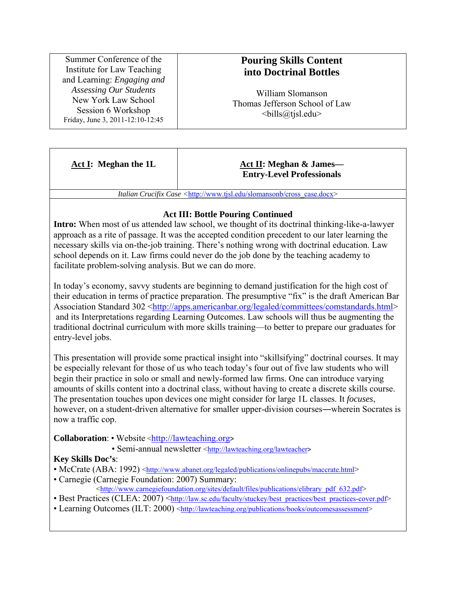Summer Conference of the Institute for Law Teaching and Learning: *Engaging and Assessing Our Students* New York Law School Session 6 Workshop Friday, June 3, 2011-12:10-12:45

# **Pouring Skills Content into Doctrinal Bottles**

William Slomanson Thomas Jefferson School of Law  $\langle$ bills@tjsl.edu>

#### **Act I: Meghan the 1L Act II: Meghan & James— Entry-Level Professionals**

*Italian Crucifix Case <*http://www.tjsl.edu/slomansonb/cross\_case.docx>

### **Act III: Bottle Pouring Continued**

**Intro:** When most of us attended law school, we thought of its doctrinal thinking-like-a-lawyer approach as a rite of passage. It was the accepted condition precedent to our later learning the necessary skills via on-the-job training. There's nothing wrong with doctrinal education. Law school depends on it. Law firms could never do the job done by the teaching academy to facilitate problem-solving analysis. But we can do more.

In today's economy, savvy students are beginning to demand justification for the high cost of their education in terms of practice preparation. The presumptive "fix" is the draft American Bar Association Standard 302 <http://apps.americanbar.org/legaled/committees/comstandards.html> and its Interpretations regarding Learning Outcomes. Law schools will thus be augmenting the traditional doctrinal curriculum with more skills training—to better to prepare our graduates for entry-level jobs.

This presentation will provide some practical insight into "skillsifying" doctrinal courses. It may be especially relevant for those of us who teach today's four out of five law students who will begin their practice in solo or small and newly-formed law firms. One can introduce varying amounts of skills content into a doctrinal class, without having to create a discrete skills course. The presentation touches upon devices one might consider for large 1L classes. It *focuses*, however, on a student-driven alternative for smaller upper-division courses—wherein Socrates is now a traffic cop.

**Collaboration:** • Website <http://lawteaching.org>

• Semi-annual newsletter <http://lawteaching.org/lawteacher>

## **Key Skills Doc's**:

- McCrate (ABA: 1992) <http://www.abanet.org/legaled/publications/onlinepubs/maccrate.html>
- Carnegie (Carnegie Foundation: 2007) Summary:  $\langle$ http://www.carnegiefoundation.org/sites/default/files/publications/elibrary\_pdf\_632.pdf>
- Best Practices (CLEA: 2007) <http://law.sc.edu/faculty/stuckey/best\_practices/best\_practices-cover.pdf>
- Learning Outcomes (ILT: 2000) <http://lawteaching.org/publications/books/outcomesassessment>